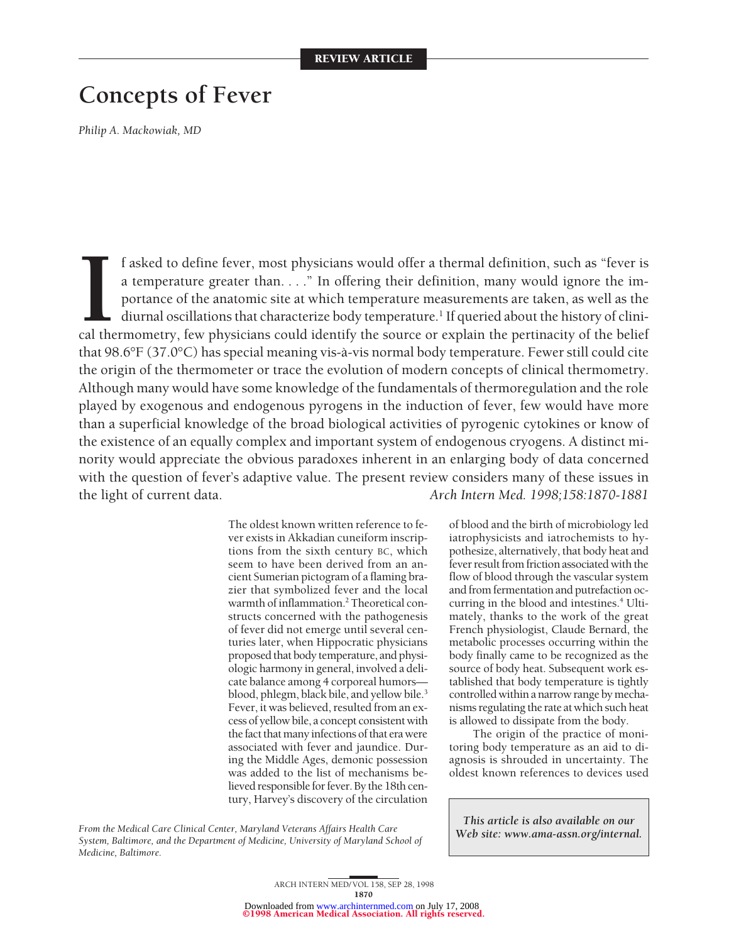# **Concepts of Fever**

*Philip A. Mackowiak, MD*

III asked to define fever, most physicians would offer a thermal definition, such as "fever is<br>a temperature greater than...." In offering their definition, many would ignore the im-<br>portance of the anatomic site at which f asked to define fever, most physicians would offer a thermal definition, such as "fever is a temperature greater than. . . ." In offering their definition, many would ignore the importance of the anatomic site at which temperature measurements are taken, as well as the diurnal oscillations that characterize body temperature.<sup>1</sup> If queried about the history of clinithat 98.6°F (37.0°C) has special meaning vis-à-vis normal body temperature. Fewer still could cite the origin of the thermometer or trace the evolution of modern concepts of clinical thermometry. Although many would have some knowledge of the fundamentals of thermoregulation and the role played by exogenous and endogenous pyrogens in the induction of fever, few would have more than a superficial knowledge of the broad biological activities of pyrogenic cytokines or know of the existence of an equally complex and important system of endogenous cryogens. A distinct minority would appreciate the obvious paradoxes inherent in an enlarging body of data concerned with the question of fever's adaptive value. The present review considers many of these issues in the light of current data. *Arch Intern Med. 1998;158:1870-1881*

> The oldest known written reference to fever exists in Akkadian cuneiform inscriptions from the sixth century BC, which seem to have been derived from an ancient Sumerian pictogram of a flaming brazier that symbolized fever and the local warmth of inflammation.<sup>2</sup> Theoretical constructs concerned with the pathogenesis of fever did not emerge until several centuries later, when Hippocratic physicians proposed that body temperature, and physiologic harmony in general, involved a delicate balance among 4 corporeal humors blood, phlegm, black bile, and yellow bile.<sup>3</sup> Fever, it was believed, resulted from an excess of yellow bile, a concept consistent with the fact that many infections of that era were associated with fever and jaundice. During the Middle Ages, demonic possession was added to the list of mechanisms believed responsible for fever. By the 18th century, Harvey's discovery of the circulation

of blood and the birth of microbiology led iatrophysicists and iatrochemists to hypothesize, alternatively, that body heat and fever result from friction associated with the flow of blood through the vascular system and from fermentation and putrefaction occurring in the blood and intestines.<sup>4</sup> Ultimately, thanks to the work of the great French physiologist, Claude Bernard, the metabolic processes occurring within the body finally came to be recognized as the source of body heat. Subsequent work established that body temperature is tightly controlled within a narrow range by mechanisms regulating the rate at which such heat is allowed to dissipate from the body.

The origin of the practice of monitoring body temperature as an aid to diagnosis is shrouded in uncertainty. The oldest known references to devices used

*This article is also available on our Web site: www.ama-assn.org/internal.*

*From the Medical Care Clinical Center, Maryland Veterans Affairs Health Care System, Baltimore, and the Department of Medicine, University of Maryland School of Medicine, Baltimore.*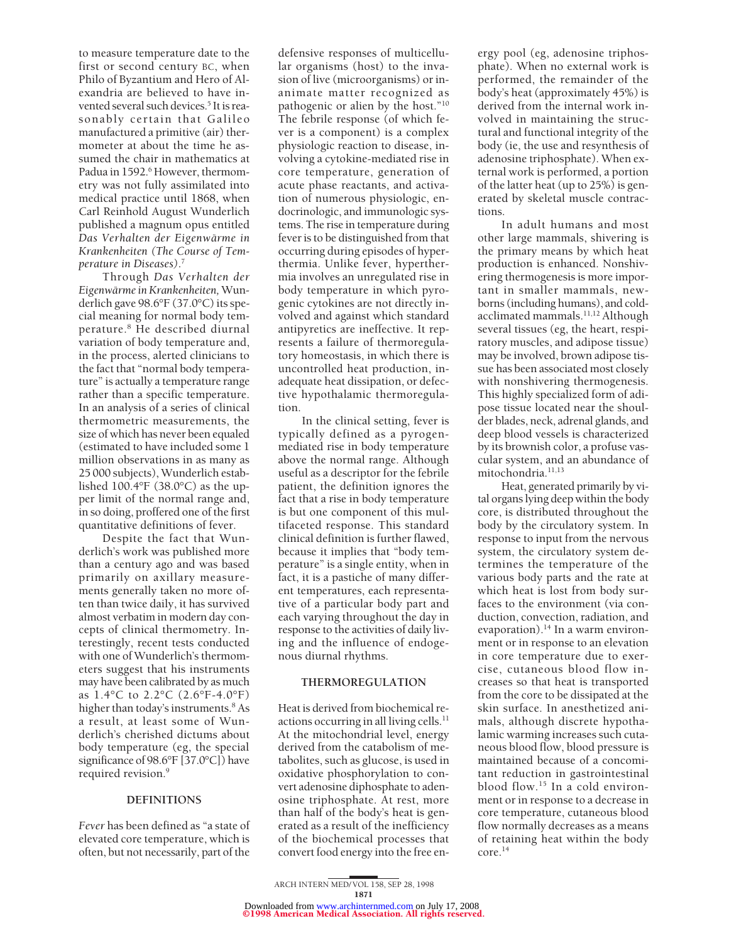to measure temperature date to the first or second century BC, when Philo of Byzantium and Hero of Alexandria are believed to have invented several such devices.<sup>5</sup> It is reasonably certain that Galileo manufactured a primitive (air) thermometer at about the time he assumed the chair in mathematics at Padua in 1592.<sup>6</sup> However, thermometry was not fully assimilated into medical practice until 1868, when Carl Reinhold August Wunderlich published a magnum opus entitled *Das Verhalten der Eigenwa¨rme in Krankenheiten (The Course of Temperature in Diseases)*. 7

Through *Das Verhalten der Eigenwa¨rme in Krankenheiten,* Wunderlich gave 98.6°F (37.0°C) its special meaning for normal body temperature.8 He described diurnal variation of body temperature and, in the process, alerted clinicians to the fact that "normal body temperature" is actually a temperature range rather than a specific temperature. In an analysis of a series of clinical thermometric measurements, the size of which has never been equaled (estimated to have included some 1 million observations in as many as 25 000 subjects), Wunderlich established  $100.4$ °F (38.0°C) as the upper limit of the normal range and, in so doing, proffered one of the first quantitative definitions of fever.

Despite the fact that Wunderlich's work was published more than a century ago and was based primarily on axillary measurements generally taken no more often than twice daily, it has survived almost verbatim in modern day concepts of clinical thermometry. Interestingly, recent tests conducted with one of Wunderlich's thermometers suggest that his instruments may have been calibrated by as much as 1.4°C to 2.2°C (2.6°F-4.0°F) higher than today's instruments.<sup>8</sup> As a result, at least some of Wunderlich's cherished dictums about body temperature (eg, the special significance of 98.6°F [37.0°C]) have required revision.<sup>9</sup>

# **DEFINITIONS**

*Fever* has been defined as "a state of elevated core temperature, which is often, but not necessarily, part of the

defensive responses of multicellular organisms (host) to the invasion of live (microorganisms) or inanimate matter recognized as pathogenic or alien by the host."10 The febrile response (of which fever is a component) is a complex physiologic reaction to disease, involving a cytokine-mediated rise in core temperature, generation of acute phase reactants, and activation of numerous physiologic, endocrinologic, and immunologic systems. The rise in temperature during fever is to be distinguished from that occurring during episodes of hyperthermia. Unlike fever, hyperthermia involves an unregulated rise in body temperature in which pyrogenic cytokines are not directly involved and against which standard antipyretics are ineffective. It represents a failure of thermoregulatory homeostasis, in which there is uncontrolled heat production, inadequate heat dissipation, or defective hypothalamic thermoregulation.

In the clinical setting, fever is typically defined as a pyrogenmediated rise in body temperature above the normal range. Although useful as a descriptor for the febrile patient, the definition ignores the fact that a rise in body temperature is but one component of this multifaceted response. This standard clinical definition is further flawed, because it implies that "body temperature" is a single entity, when in fact, it is a pastiche of many different temperatures, each representative of a particular body part and each varying throughout the day in response to the activities of daily living and the influence of endogenous diurnal rhythms.

#### **THERMOREGULATION**

Heat is derived from biochemical reactions occurring in all living cells.<sup>11</sup> At the mitochondrial level, energy derived from the catabolism of metabolites, such as glucose, is used in oxidative phosphorylation to convert adenosine diphosphate to adenosine triphosphate. At rest, more than half of the body's heat is generated as a result of the inefficiency of the biochemical processes that convert food energy into the free en-

ergy pool (eg, adenosine triphosphate). When no external work is performed, the remainder of the body's heat (approximately 45%) is derived from the internal work involved in maintaining the structural and functional integrity of the body (ie, the use and resynthesis of adenosine triphosphate). When external work is performed, a portion of the latter heat (up to 25%) is generated by skeletal muscle contractions.

In adult humans and most other large mammals, shivering is the primary means by which heat production is enhanced. Nonshivering thermogenesis is more important in smaller mammals, newborns (including humans), and coldacclimated mammals.11,12 Although several tissues (eg, the heart, respiratory muscles, and adipose tissue) may be involved, brown adipose tissue has been associated most closely with nonshivering thermogenesis. This highly specialized form of adipose tissue located near the shoulder blades, neck, adrenal glands, and deep blood vessels is characterized by its brownish color, a profuse vascular system, and an abundance of mitochondria.<sup>11,13</sup>

Heat, generated primarily by vital organs lying deep within the body core, is distributed throughout the body by the circulatory system. In response to input from the nervous system, the circulatory system determines the temperature of the various body parts and the rate at which heat is lost from body surfaces to the environment (via conduction, convection, radiation, and evaporation).<sup>14</sup> In a warm environment or in response to an elevation in core temperature due to exercise, cutaneous blood flow increases so that heat is transported from the core to be dissipated at the skin surface. In anesthetized animals, although discrete hypothalamic warming increases such cutaneous blood flow, blood pressure is maintained because of a concomitant reduction in gastrointestinal blood flow.15 In a cold environment or in response to a decrease in core temperature, cutaneous blood flow normally decreases as a means of retaining heat within the body core.14

Downloaded from [www.archinternmed.com](http://www.archinternmed.com) on July 17, 2008<br>©1998 American Medical Association. All rights reserved.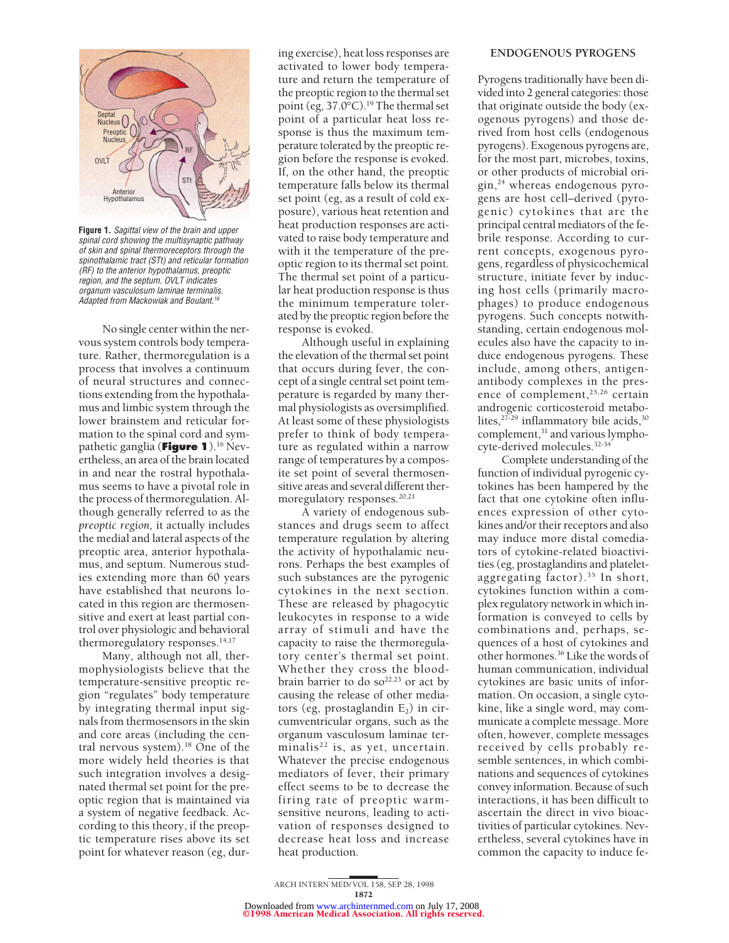

**Figure 1.** Sagittal view of the brain and upper spinal cord showing the multisynaptic pathway of skin and spinal thermoreceptors through the spinothalamic tract (STt) and reticular formation (RF) to the anterior hypothalamus, preoptic region, and the septum. OVLT indicates organum vasculosum laminae terminalis. Adapted from Mackowiak and Boulant.<sup>16</sup>

No single center within the nervous system controls body temperature. Rather, thermoregulation is a process that involves a continuum of neural structures and connections extending from the hypothalamus and limbic system through the lower brainstem and reticular formation to the spinal cord and sympathetic ganglia (**Figure 1**).<sup>16</sup> Nevertheless, an area of the brain located in and near the rostral hypothalamus seems to have a pivotal role in the process of thermoregulation. Although generally referred to as the *preoptic region,* it actually includes the medial and lateral aspects of the preoptic area, anterior hypothalamus, and septum. Numerous studies extending more than 60 years have established that neurons located in this region are thermosensitive and exert at least partial control over physiologic and behavioral thermoregulatory responses.<sup>14,17</sup>

Many, although not all, thermophysiologists believe that the temperature-sensitive preoptic region "regulates" body temperature by integrating thermal input signals from thermosensors in the skin and core areas (including the central nervous system).18 One of the more widely held theories is that such integration involves a designated thermal set point for the preoptic region that is maintained via a system of negative feedback. According to this theory, if the preoptic temperature rises above its set point for whatever reason (eg, dur-

ing exercise), heat loss responses are activated to lower body temperature and return the temperature of the preoptic region to the thermal set point (eg, 37.0°C).<sup>19</sup> The thermal set point of a particular heat loss response is thus the maximum temperature tolerated by the preoptic region before the response is evoked. If, on the other hand, the preoptic temperature falls below its thermal set point (eg, as a result of cold exposure), various heat retention and heat production responses are activated to raise body temperature and with it the temperature of the preoptic region to its thermal set point. The thermal set point of a particular heat production response is thus the minimum temperature tolerated by the preoptic region before the response is evoked.

Although useful in explaining the elevation of the thermal set point that occurs during fever, the concept of a single central set point temperature is regarded by many thermal physiologists as oversimplified. At least some of these physiologists prefer to think of body temperature as regulated within a narrow range of temperatures by a composite set point of several thermosensitive areas and several different thermoregulatory responses.<sup>20,21</sup>

A variety of endogenous substances and drugs seem to affect temperature regulation by altering the activity of hypothalamic neurons. Perhaps the best examples of such substances are the pyrogenic cytokines in the next section. These are released by phagocytic leukocytes in response to a wide array of stimuli and have the capacity to raise the thermoregulatory center's thermal set point. Whether they cross the bloodbrain barrier to do so<sup>22,23</sup> or act by causing the release of other mediators (eg, prostaglandin  $E_2$ ) in circumventricular organs, such as the organum vasculosum laminae ter $minalis<sup>22</sup>$  is, as yet, uncertain. Whatever the precise endogenous mediators of fever, their primary effect seems to be to decrease the firing rate of preoptic warmsensitive neurons, leading to activation of responses designed to decrease heat loss and increase heat production.

#### **ENDOGENOUS PYROGENS**

Pyrogens traditionally have been divided into 2 general categories: those that originate outside the body (exogenous pyrogens) and those derived from host cells (endogenous pyrogens). Exogenous pyrogens are, for the most part, microbes, toxins, or other products of microbial ori- $\sin^{24}$  whereas endogenous pyrogens are host cell–derived (pyrogenic) cytokines that are the principal central mediators of the febrile response. According to current concepts, exogenous pyrogens, regardless of physicochemical structure, initiate fever by inducing host cells (primarily macrophages) to produce endogenous pyrogens. Such concepts notwithstanding, certain endogenous molecules also have the capacity to induce endogenous pyrogens. These include, among others, antigenantibody complexes in the presence of complement,<sup>25,26</sup> certain androgenic corticosteroid metabolites, $27-29$  inflammatory bile acids,  $30$ complement,<sup>31</sup> and various lymphocyte-derived molecules.32-34

Complete understanding of the function of individual pyrogenic cytokines has been hampered by the fact that one cytokine often influences expression of other cytokines and/or their receptors and also may induce more distal comediators of cytokine-related bioactivities (eg, prostaglandins and plateletaggregating factor).35 In short, cytokines function within a complex regulatory network in which information is conveyed to cells by combinations and, perhaps, sequences of a host of cytokines and other hormones.36 Like the words of human communication, individual cytokines are basic units of information. On occasion, a single cytokine, like a single word, may communicate a complete message. More often, however, complete messages received by cells probably resemble sentences, in which combinations and sequences of cytokines convey information. Because of such interactions, it has been difficult to ascertain the direct in vivo bioactivities of particular cytokines. Nevertheless, several cytokines have in common the capacity to induce fe-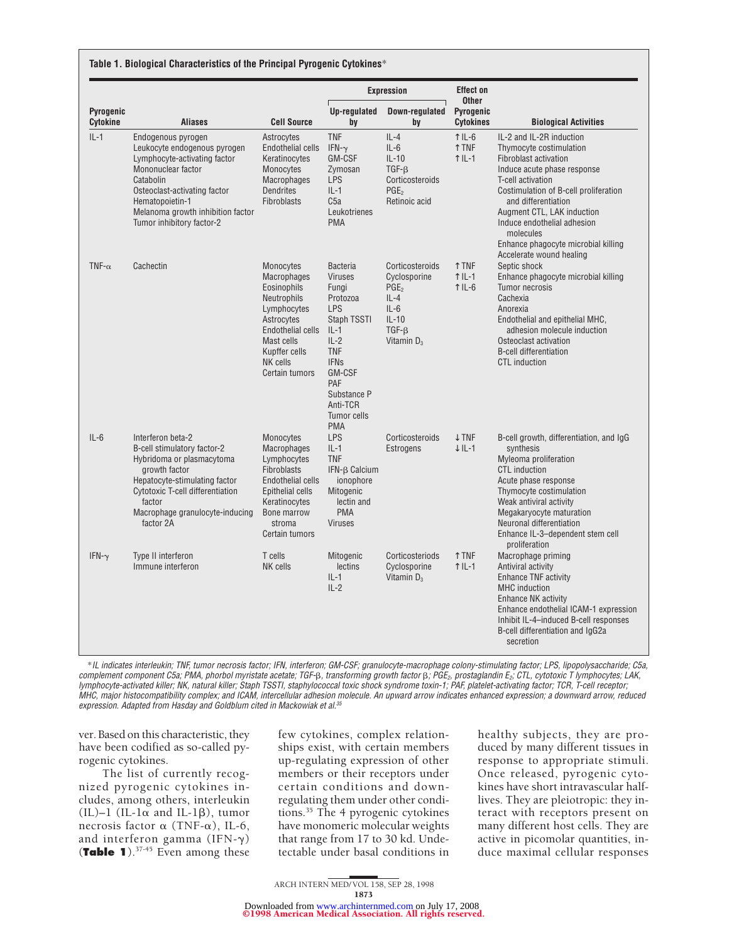| Pyrogenic<br>Cytokine | <b>Aliases</b>                                                                                                                                                                                                                             | <b>Cell Source</b>                                                                                                                                                           | <b>Expression</b>                                                                                                                                                                                                           |                                                                                                                    | <b>Effect on</b><br><b>Other</b>                     |                                                                                                                                                                                                                                                                                                                                               |
|-----------------------|--------------------------------------------------------------------------------------------------------------------------------------------------------------------------------------------------------------------------------------------|------------------------------------------------------------------------------------------------------------------------------------------------------------------------------|-----------------------------------------------------------------------------------------------------------------------------------------------------------------------------------------------------------------------------|--------------------------------------------------------------------------------------------------------------------|------------------------------------------------------|-----------------------------------------------------------------------------------------------------------------------------------------------------------------------------------------------------------------------------------------------------------------------------------------------------------------------------------------------|
|                       |                                                                                                                                                                                                                                            |                                                                                                                                                                              | Up-regulated<br>by                                                                                                                                                                                                          | Down-regulated<br>by                                                                                               | Pyrogenic<br><b>Cytokines</b>                        | <b>Biological Activities</b>                                                                                                                                                                                                                                                                                                                  |
| $IL-1$                | Endogenous pyrogen<br>Leukocyte endogenous pyrogen<br>Lymphocyte-activating factor<br>Mononuclear factor<br>Catabolin<br>Osteoclast-activating factor<br>Hematopoietin-1<br>Melanoma growth inhibition factor<br>Tumor inhibitory factor-2 | Astrocytes<br>Endothelial cells<br>Keratinocytes<br>Monocytes<br><b>Macrophages</b><br><b>Dendrites</b><br><b>Fibroblasts</b>                                                | <b>TNF</b><br>$IFN-\gamma$<br><b>GM-CSF</b><br>Zymosan<br><b>LPS</b><br>$IL-1$<br>C5a<br>Leukotrienes<br><b>PMA</b>                                                                                                         | $IL-4$<br>$IL-6$<br>$IL-10$<br>$TGF-B$<br>Corticosteroids<br>PGE <sub>2</sub><br>Retinoic acid                     | ↑ IL-6<br>↑ TNF<br>$\uparrow$ IL-1                   | IL-2 and IL-2R induction<br>Thymocyte costimulation<br>Fibroblast activation<br>Induce acute phase response<br>T-cell activation<br>Costimulation of B-cell proliferation<br>and differentiation<br>Augment CTL, LAK induction<br>Induce endothelial adhesion<br>molecules<br>Enhance phagocyte microbial killing<br>Accelerate wound healing |
| TNF- $\alpha$         | Cachectin                                                                                                                                                                                                                                  | Monocytes<br>Macrophages<br>Eosinophils<br>Neutrophils<br>Lymphocytes<br>Astrocytes<br><b>Endothelial cells</b><br>Mast cells<br>Kupffer cells<br>NK cells<br>Certain tumors | <b>Bacteria</b><br><b>Viruses</b><br>Fungi<br>Protozoa<br><b>LPS</b><br>Staph TSSTI<br>$IL-1$<br>$IL-2$<br><b>TNF</b><br><b>IFNs</b><br><b>GM-CSF</b><br>PAF<br>Substance P<br>Anti-TCR<br><b>Tumor cells</b><br><b>PMA</b> | Corticosteroids<br>Cyclosporine<br>PGE <sub>2</sub><br>$IL-4$<br>$IL-6$<br>$IL-10$<br>$TGF-\beta$<br>Vitamin $D_3$ | $\uparrow$ TNF<br>$\uparrow$ IL-1<br>$\uparrow$ IL-6 | Septic shock<br>Enhance phagocyte microbial killing<br>Tumor necrosis<br>Cachexia<br>Anorexia<br>Endothelial and epithelial MHC.<br>adhesion molecule induction<br>Osteoclast activation<br><b>B-cell differentiation</b><br><b>CTL</b> induction                                                                                             |
| $IL-6$                | Interferon beta-2<br>B-cell stimulatory factor-2<br>Hybridoma or plasmacytoma<br>growth factor<br>Hepatocyte-stimulating factor<br>Cytotoxic T-cell differentiation<br>factor<br>Macrophage granulocyte-inducing<br>factor 2A              | Monocytes<br>Macrophages<br>Lymphocytes<br><b>Fibroblasts</b><br>Endothelial cells<br>Epithelial cells<br>Keratinocytes<br>Bone marrow<br>stroma<br>Certain tumors           | LPS<br>$IL-1$<br><b>TNF</b><br>IFN- <sub>B</sub> Calcium<br>ionophore<br>Mitogenic<br>lectin and<br><b>PMA</b><br><b>Viruses</b>                                                                                            | Corticosteroids<br>Estrogens                                                                                       | $\downarrow$ TNF<br>$\downarrow$ IL-1                | B-cell growth, differentiation, and IgG<br>synthesis<br>Myleoma proliferation<br><b>CTL</b> induction<br>Acute phase response<br>Thymocyte costimulation<br>Weak antiviral activity<br>Megakaryocyte maturation<br>Neuronal differentiation<br>Enhance IL-3-dependent stem cell<br>proliferation                                              |
| IFN- $\gamma$         | Type II interferon<br>Immune interferon                                                                                                                                                                                                    | T cells<br>NK cells                                                                                                                                                          | Mitogenic<br>lectins<br>$IL-1$<br>$IL-2$                                                                                                                                                                                    | Corticosteriods<br>Cyclosporine<br>Vitamin $D_3$                                                                   | ↑ TNF<br>$\uparrow$ IL-1                             | Macrophage priming<br>Antiviral activity<br><b>Enhance TNF activity</b><br><b>MHC</b> induction<br>Enhance NK activity<br>Enhance endothelial ICAM-1 expression<br>Inhibit IL-4-induced B-cell responses<br>B-cell differentiation and IgG2a<br>secretion                                                                                     |

\*IL indicates interleukin; TNF, tumor necrosis factor; IFN, interferon; GM-CSF; granulocyte-macrophage colony-stimulating factor; LPS, lipopolysaccharide; C5a, complement component C5a; PMA, phorbol myristate acetate; TGF-B, transforming growth factor B; PGE<sub>2</sub>, prostaglandin E<sub>2</sub>; CTL, cytotoxic T lymphocytes; LAK, lymphocyte-activated killer; NK, natural killer; Staph TSSTI, staphylococcal toxic shock syndrome toxin-1; PAF, platelet-activating factor; TCR, T-cell receptor; MHC, major histocompatibility complex; and ICAM, intercellular adhesion molecule. An upward arrow indicates enhanced expression; <sup>a</sup> downward arrow, reduced expression. Adapted from Hasday and Goldblum cited in Mackowiak et al.<sup>35</sup>

ver. Based on this characteristic, they have been codified as so-called pyrogenic cytokines.

The list of currently recognized pyrogenic cytokines includes, among others, interleukin (IL)–1 (IL-1 $\alpha$  and IL-1 $\beta$ ), tumor necrosis factor  $\alpha$  (TNF- $\alpha$ ), IL-6, and interferon gamma (IFN- $\gamma$ ) (**Table 1**).37-45 Even among these

few cytokines, complex relationships exist, with certain members up-regulating expression of other members or their receptors under certain conditions and downregulating them under other conditions.35 The 4 pyrogenic cytokines have monomeric molecular weights that range from 17 to 30 kd. Undetectable under basal conditions in healthy subjects, they are produced by many different tissues in response to appropriate stimuli. Once released, pyrogenic cytokines have short intravascular halflives. They are pleiotropic: they interact with receptors present on many different host cells. They are active in picomolar quantities, induce maximal cellular responses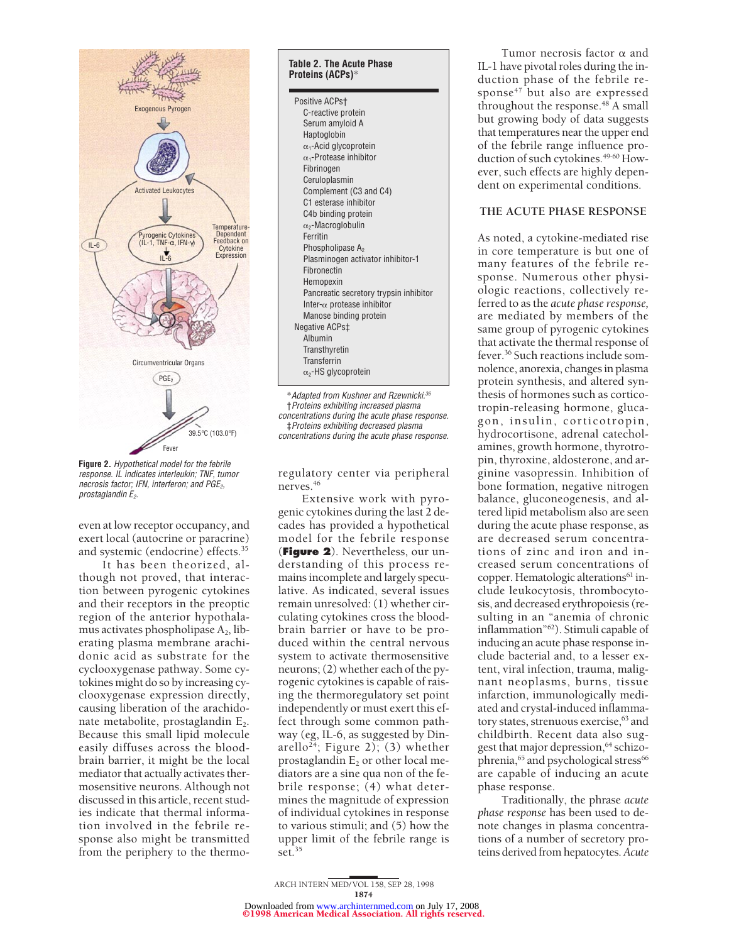

**Figure 2.** Hypothetical model for the febrile response. IL indicates interleukin; TNF, tumor necrosis factor; IFN, interferon; and  $PGE<sub>2</sub>$ , prostaglandin  $E_2$ .

even at low receptor occupancy, and exert local (autocrine or paracrine) and systemic (endocrine) effects.35

It has been theorized, although not proved, that interaction between pyrogenic cytokines and their receptors in the preoptic region of the anterior hypothalamus activates phospholipase  $A_2$ , liberating plasma membrane arachidonic acid as substrate for the cyclooxygenase pathway. Some cytokines might do so by increasing cyclooxygenase expression directly, causing liberation of the arachidonate metabolite, prostaglandin E<sub>2</sub>. Because this small lipid molecule easily diffuses across the bloodbrain barrier, it might be the local mediator that actually activates thermosensitive neurons. Although not discussed in this article, recent studies indicate that thermal information involved in the febrile response also might be transmitted from the periphery to the thermo-

| <b>Table 2. The Acute Phase</b><br>Proteins (ACPs)*                          |
|------------------------------------------------------------------------------|
| Positive ACPs+                                                               |
| C-reactive protein                                                           |
| Serum amyloid A                                                              |
| Haptoglobin                                                                  |
| $\alpha_1$ -Acid glycoprotein                                                |
| $\alpha_1$ -Protease inhibitor                                               |
| Fibrinogen                                                                   |
| Ceruloplasmin                                                                |
| Complement (C3 and C4)                                                       |
| C1 esterase inhibitor                                                        |
| C4b binding protein                                                          |
| $\alpha_2$ -Macroglobulin                                                    |
| Ferritin                                                                     |
| Phospholipase A <sub>2</sub>                                                 |
| Plasminogen activator inhibitor-1<br>Fibronectin                             |
|                                                                              |
| Hemopexin                                                                    |
| Pancreatic secretory trypsin inhibitor<br>Inter- $\alpha$ protease inhibitor |
| Manose binding protein                                                       |
| Negative ACPs‡                                                               |
| Alhumin                                                                      |
| Transthyretin                                                                |
| Transferrin                                                                  |
| $\alpha$ <sub>2</sub> -HS glycoprotein                                       |

\*Adapted from Kushner and Rzewnicki.<sup>36</sup> †Proteins exhibiting increased plasma concentrations during the acute phase response. ‡Proteins exhibiting decreased plasma concentrations during the acute phase response.

regulatory center via peripheral nerves.<sup>46</sup>

Extensive work with pyrogenic cytokines during the last 2 decades has provided a hypothetical model for the febrile response (**Figure 2**). Nevertheless, our understanding of this process remains incomplete and largely speculative. As indicated, several issues remain unresolved: (1) whether circulating cytokines cross the bloodbrain barrier or have to be produced within the central nervous system to activate thermosensitive neurons; (2) whether each of the pyrogenic cytokines is capable of raising the thermoregulatory set point independently or must exert this effect through some common pathway (eg, IL-6, as suggested by Dinarello<sup>24</sup>; Figure 2); (3) whether prostaglandin  $E_2$  or other local mediators are a sine qua non of the febrile response; (4) what determines the magnitude of expression of individual cytokines in response to various stimuli; and (5) how the upper limit of the febrile range is set.<sup>35</sup>

Tumor necrosis factor  $\alpha$  and IL-1 have pivotal roles during the induction phase of the febrile response47 but also are expressed throughout the response. $48A$  small but growing body of data suggests that temperatures near the upper end of the febrile range influence production of such cytokines.<sup>49-60</sup> However, such effects are highly dependent on experimental conditions.

## **THE ACUTE PHASE RESPONSE**

As noted, a cytokine-mediated rise in core temperature is but one of many features of the febrile response. Numerous other physiologic reactions, collectively referred to as the *acute phase response,* are mediated by members of the same group of pyrogenic cytokines that activate the thermal response of fever.36 Such reactions include somnolence, anorexia, changes in plasma protein synthesis, and altered synthesis of hormones such as corticotropin-releasing hormone, glucagon, insulin, corticotropin, hydrocortisone, adrenal catecholamines, growth hormone, thyrotropin, thyroxine, aldosterone, and arginine vasopressin. Inhibition of bone formation, negative nitrogen balance, gluconeogenesis, and altered lipid metabolism also are seen during the acute phase response, as are decreased serum concentrations of zinc and iron and increased serum concentrations of copper. Hematologic alterations<sup>61</sup> include leukocytosis, thrombocytosis, and decreased erythropoiesis (resulting in an "anemia of chronic inflammation"62). Stimuli capable of inducing an acute phase response include bacterial and, to a lesser extent, viral infection, trauma, malignant neoplasms, burns, tissue infarction, immunologically mediated and crystal-induced inflammatory states, strenuous exercise,<sup>63</sup> and childbirth. Recent data also suggest that major depression,<sup>64</sup> schizophrenia,<sup>65</sup> and psychological stress<sup>66</sup> are capable of inducing an acute phase response.

Traditionally, the phrase *acute phase response* has been used to denote changes in plasma concentrations of a number of secretory proteins derived from hepatocytes. *Acute*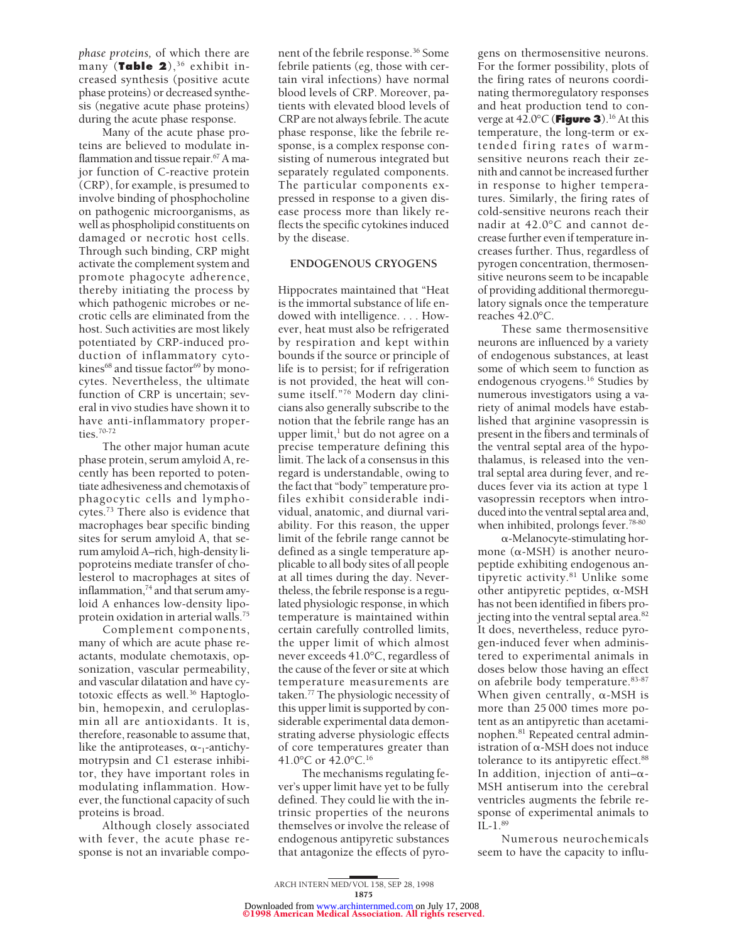*phase proteins,* of which there are many (Table 2),<sup>36</sup> exhibit increased synthesis (positive acute phase proteins) or decreased synthesis (negative acute phase proteins) during the acute phase response.

Many of the acute phase proteins are believed to modulate inflammation and tissue repair.<sup>67</sup> A major function of C-reactive protein (CRP), for example, is presumed to involve binding of phosphocholine on pathogenic microorganisms, as well as phospholipid constituents on damaged or necrotic host cells. Through such binding, CRP might activate the complement system and promote phagocyte adherence, thereby initiating the process by which pathogenic microbes or necrotic cells are eliminated from the host. Such activities are most likely potentiated by CRP-induced production of inflammatory cytokines<sup>68</sup> and tissue factor<sup>69</sup> by monocytes. Nevertheless, the ultimate function of CRP is uncertain; several in vivo studies have shown it to have anti-inflammatory properties.70-72

The other major human acute phase protein, serum amyloid A, recently has been reported to potentiate adhesiveness and chemotaxis of phagocytic cells and lymphocytes.<sup>73</sup> There also is evidence that macrophages bear specific binding sites for serum amyloid A, that serum amyloid A–rich, high-density lipoproteins mediate transfer of cholesterol to macrophages at sites of inflammation, $74$  and that serum amyloid A enhances low-density lipoprotein oxidation in arterial walls.75

Complement components, many of which are acute phase reactants, modulate chemotaxis, opsonization, vascular permeability, and vascular dilatation and have cytotoxic effects as well.36 Haptoglobin, hemopexin, and ceruloplasmin all are antioxidants. It is, therefore, reasonable to assume that, like the antiproteases,  $\alpha$ -<sub>1</sub>-antichymotrypsin and C1 esterase inhibitor, they have important roles in modulating inflammation. However, the functional capacity of such proteins is broad.

Although closely associated with fever, the acute phase response is not an invariable compo-

nent of the febrile response.36 Some febrile patients (eg, those with certain viral infections) have normal blood levels of CRP. Moreover, patients with elevated blood levels of CRP are not always febrile. The acute phase response, like the febrile response, is a complex response consisting of numerous integrated but separately regulated components. The particular components expressed in response to a given disease process more than likely reflects the specific cytokines induced by the disease.

## **ENDOGENOUS CRYOGENS**

Hippocrates maintained that "Heat is the immortal substance of life endowed with intelligence.... However, heat must also be refrigerated by respiration and kept within bounds if the source or principle of life is to persist; for if refrigeration is not provided, the heat will consume itself."76 Modern day clinicians also generally subscribe to the notion that the febrile range has an upper  $\lim$ it,<sup>1</sup> but do not agree on a precise temperature defining this limit. The lack of a consensus in this regard is understandable, owing to the fact that "body" temperature profiles exhibit considerable individual, anatomic, and diurnal variability. For this reason, the upper limit of the febrile range cannot be defined as a single temperature applicable to all body sites of all people at all times during the day. Nevertheless, the febrile response is a regulated physiologic response, in which temperature is maintained within certain carefully controlled limits, the upper limit of which almost never exceeds 41.0°C, regardless of the cause of the fever or site at which temperature measurements are taken.77 The physiologic necessity of this upper limit is supported by considerable experimental data demonstrating adverse physiologic effects of core temperatures greater than 41.0°C or 42.0°C.16

The mechanisms regulating fever's upper limit have yet to be fully defined. They could lie with the intrinsic properties of the neurons themselves or involve the release of endogenous antipyretic substances that antagonize the effects of pyro-

gens on thermosensitive neurons. For the former possibility, plots of the firing rates of neurons coordinating thermoregulatory responses and heat production tend to converge at  $42.0^{\circ}$ C (**Figure 3**).<sup>16</sup> At this temperature, the long-term or extended firing rates of warmsensitive neurons reach their zenith and cannot be increased further in response to higher temperatures. Similarly, the firing rates of cold-sensitive neurons reach their nadir at 42.0°C and cannot decrease further even if temperature increases further. Thus, regardless of pyrogen concentration, thermosensitive neurons seem to be incapable of providing additional thermoregulatory signals once the temperature reaches 42.0°C.

These same thermosensitive neurons are influenced by a variety of endogenous substances, at least some of which seem to function as endogenous cryogens.16 Studies by numerous investigators using a variety of animal models have established that arginine vasopressin is present in the fibers and terminals of the ventral septal area of the hypothalamus, is released into the ventral septal area during fever, and reduces fever via its action at type 1 vasopressin receptors when introduced into the ventral septal area and, when inhibited, prolongs fever.<sup>78-80</sup>

a-Melanocyte-stimulating hormone ( $\alpha$ -MSH) is another neuropeptide exhibiting endogenous antipyretic activity.<sup>81</sup> Unlike some other antipyretic peptides,  $\alpha$ -MSH has not been identified in fibers projecting into the ventral septal area.<sup>82</sup> It does, nevertheless, reduce pyrogen-induced fever when administered to experimental animals in doses below those having an effect on afebrile body temperature. 83-87 When given centrally,  $\alpha$ -MSH is more than 25 000 times more potent as an antipyretic than acetaminophen.81 Repeated central administration of  $\alpha$ -MSH does not induce tolerance to its antipyretic effect.<sup>88</sup> In addition, injection of anti $-\alpha$ -MSH antiserum into the cerebral ventricles augments the febrile response of experimental animals to  $IL-1.89$ 

Numerous neurochemicals seem to have the capacity to influ-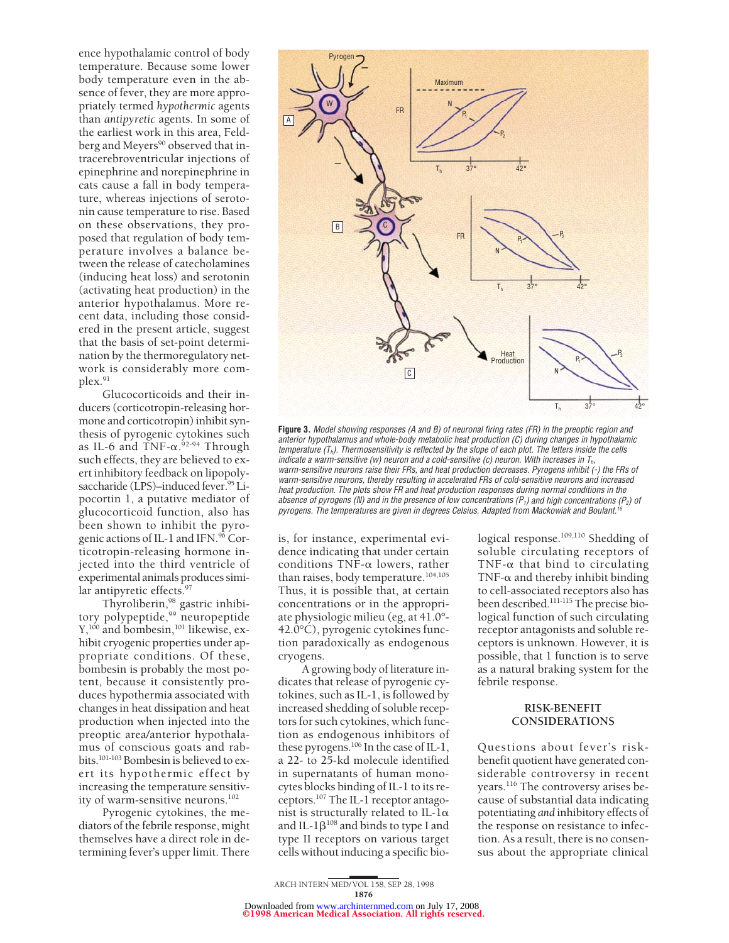ence hypothalamic control of body temperature. Because some lower body temperature even in the absence of fever, they are more appropriately termed *hypothermic* agents than *antipyretic* agents. In some of the earliest work in this area, Feldberg and Meyers<sup>90</sup> observed that intracerebroventricular injections of epinephrine and norepinephrine in cats cause a fall in body temperature, whereas injections of serotonin cause temperature to rise. Based on these observations, they proposed that regulation of body temperature involves a balance between the release of catecholamines (inducing heat loss) and serotonin (activating heat production) in the anterior hypothalamus. More recent data, including those considered in the present article, suggest that the basis of set-point determination by the thermoregulatory network is considerably more complex.<sup>91</sup>

Glucocorticoids and their inducers (corticotropin-releasing hormone and corticotropin) inhibit synthesis of pyrogenic cytokines such as IL-6 and TNF-α.<sup>92-94</sup> Through such effects, they are believed to exert inhibitory feedback on lipopolysaccharide (LPS)-induced fever.<sup>95</sup> Lipocortin 1, a putative mediator of glucocorticoid function, also has been shown to inhibit the pyrogenic actions of IL-1 and IFN.<sup>96</sup> Corticotropin-releasing hormone injected into the third ventricle of experimental animals produces similar antipyretic effects.<sup>97</sup>

Thyroliberin,<sup>98</sup> gastric inhibitory polypeptide,<sup>99</sup> neuropeptide Y,<sup>100</sup> and bombesin,<sup>101</sup> likewise, exhibit cryogenic properties under appropriate conditions. Of these, bombesin is probably the most potent, because it consistently produces hypothermia associated with changes in heat dissipation and heat production when injected into the preoptic area/anterior hypothalamus of conscious goats and rabbits.101-103 Bombesin is believed to exert its hypothermic effect by increasing the temperature sensitivity of warm-sensitive neurons.<sup>102</sup>

Pyrogenic cytokines, the mediators of the febrile response, might themselves have a direct role in determining fever's upper limit. There



**Figure 3.** Model showing responses (A and B) of neuronal firing rates (FR) in the preoptic region and anterior hypothalamus and whole-body metabolic heat production (C) during changes in hypothalamic temperature  $(T_h)$ . Thermosensitivity is reflected by the slope of each plot. The letters inside the cells indicate a warm-sensitive (w) neuron and a cold-sensitive (c) neuron. With increases in  $T_{h}$ , warm-sensitive neurons raise their FRs, and heat production decreases. Pyrogens inhibit (-) the FRs of warm-sensitive neurons, thereby resulting in accelerated FRs of cold-sensitive neurons and increased heat production. The plots show FR and heat production responses during normal conditions in the absence of pyrogens (N) and in the presence of low concentrations  $(P_1)$  and high concentrations  $(P_2)$  of pyrogens. The temperatures are given in degrees Celsius. Adapted from Mackowiak and Boulant.<sup>1</sup>

is, for instance, experimental evidence indicating that under certain conditions TNF-a lowers, rather than raises, body temperature.<sup>104,105</sup> Thus, it is possible that, at certain concentrations or in the appropriate physiologic milieu (eg, at 41.0°- 42.0°C), pyrogenic cytokines function paradoxically as endogenous cryogens.

A growing body of literature indicates that release of pyrogenic cytokines, such as IL-1, is followed by increased shedding of soluble receptors for such cytokines, which function as endogenous inhibitors of these pyrogens.106 In the case of IL-1, a 22- to 25-kd molecule identified in supernatants of human monocytes blocks binding of IL-1 to its receptors.107 The IL-1 receptor antagonist is structurally related to IL-1 $\alpha$ and IL-1 $\beta^{108}$  and binds to type I and type II receptors on various target cells without inducing a specific bio-

logical response.<sup>109,110</sup> Shedding of soluble circulating receptors of TNF- $\alpha$  that bind to circulating TNF- $\alpha$  and thereby inhibit binding to cell-associated receptors also has been described.111-115 The precise biological function of such circulating receptor antagonists and soluble receptors is unknown. However, it is possible, that 1 function is to serve as a natural braking system for the febrile response.

## **RISK-BENEFIT CONSIDERATIONS**

Questions about fever's riskbenefit quotient have generated considerable controversy in recent years.<sup>116</sup> The controversy arises because of substantial data indicating potentiating *and* inhibitory effects of the response on resistance to infection. As a result, there is no consensus about the appropriate clinical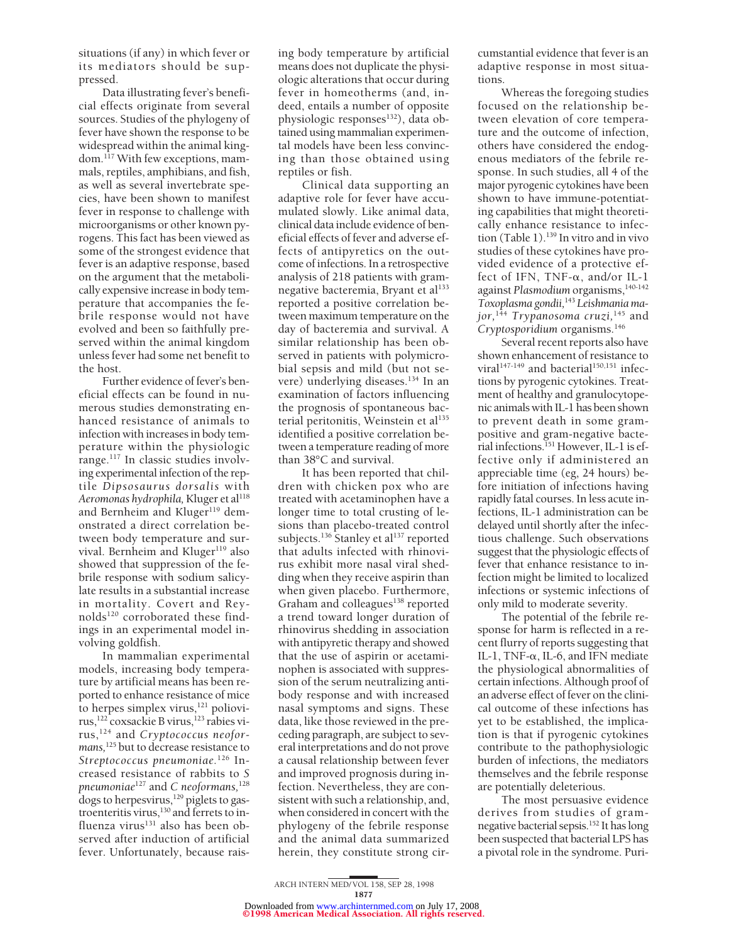situations (if any) in which fever or its mediators should be suppressed.

Data illustrating fever's beneficial effects originate from several sources. Studies of the phylogeny of fever have shown the response to be widespread within the animal kingdom.117 With few exceptions, mammals, reptiles, amphibians, and fish, as well as several invertebrate species, have been shown to manifest fever in response to challenge with microorganisms or other known pyrogens. This fact has been viewed as some of the strongest evidence that fever is an adaptive response, based on the argument that the metabolically expensive increase in body temperature that accompanies the febrile response would not have evolved and been so faithfully preserved within the animal kingdom unless fever had some net benefit to the host.

Further evidence of fever's beneficial effects can be found in numerous studies demonstrating enhanced resistance of animals to infection with increases in body temperature within the physiologic range.<sup>117</sup> In classic studies involving experimental infection of the reptile *Dipsosaurus dorsalis* with Aeromonas hydrophila, Kluger et al<sup>118</sup> and Bernheim and Kluger<sup>119</sup> demonstrated a direct correlation between body temperature and survival. Bernheim and Kluger<sup>119</sup> also showed that suppression of the febrile response with sodium salicylate results in a substantial increase in mortality. Covert and Reynolds120 corroborated these findings in an experimental model involving goldfish.

In mammalian experimental models, increasing body temperature by artificial means has been reported to enhance resistance of mice to herpes simplex virus,<sup>121</sup> poliovirus,<sup>122</sup> coxsackie B virus,<sup>123</sup> rabies virus,124 and *Cryptococcus neoformans,*<sup>125</sup> but to decrease resistance to *Streptococcus pneumoniae.*<sup>126</sup> Increased resistance of rabbits to *S pneumoniae*<sup>127</sup> and *C neoformans,*<sup>128</sup> dogs to herpesvirus,<sup>129</sup> piglets to gastroenteritis virus,130 and ferrets to influenza virus $^{131}$  also has been observed after induction of artificial fever. Unfortunately, because rais-

ing body temperature by artificial means does not duplicate the physiologic alterations that occur during fever in homeotherms (and, indeed, entails a number of opposite physiologic responses<sup>132</sup>), data obtained using mammalian experimental models have been less convincing than those obtained using reptiles or fish.

Clinical data supporting an adaptive role for fever have accumulated slowly. Like animal data, clinical data include evidence of beneficial effects of fever and adverse effects of antipyretics on the outcome of infections. In a retrospective analysis of 218 patients with gramnegative bacteremia, Bryant et al<sup>133</sup> reported a positive correlation between maximum temperature on the day of bacteremia and survival. A similar relationship has been observed in patients with polymicrobial sepsis and mild (but not severe) underlying diseases.<sup>134</sup> In an examination of factors influencing the prognosis of spontaneous bacterial peritonitis, Weinstein et al<sup>135</sup> identified a positive correlation between a temperature reading of more than 38°C and survival.

It has been reported that children with chicken pox who are treated with acetaminophen have a longer time to total crusting of lesions than placebo-treated control subjects.<sup>136</sup> Stanley et al<sup>137</sup> reported that adults infected with rhinovirus exhibit more nasal viral shedding when they receive aspirin than when given placebo. Furthermore, Graham and colleagues<sup>138</sup> reported a trend toward longer duration of rhinovirus shedding in association with antipyretic therapy and showed that the use of aspirin or acetaminophen is associated with suppression of the serum neutralizing antibody response and with increased nasal symptoms and signs. These data, like those reviewed in the preceding paragraph, are subject to several interpretations and do not prove a causal relationship between fever and improved prognosis during infection. Nevertheless, they are consistent with such a relationship, and, when considered in concert with the phylogeny of the febrile response and the animal data summarized herein, they constitute strong cir-

cumstantial evidence that fever is an adaptive response in most situations

Whereas the foregoing studies focused on the relationship between elevation of core temperature and the outcome of infection, others have considered the endogenous mediators of the febrile response. In such studies, all 4 of the major pyrogenic cytokines have been shown to have immune-potentiating capabilities that might theoretically enhance resistance to infection (Table 1).139 In vitro and in vivo studies of these cytokines have provided evidence of a protective effect of IFN, TNF- $\alpha$ , and/or IL-1 against Plasmodium organisms, 140-142 *Toxoplasma gondii,*<sup>143</sup> *Leishmania major,*<sup>144</sup> *Trypanosoma cruzi,*<sup>145</sup> and *Cryptosporidium* organisms.146

Several recent reports also have shown enhancement of resistance to viral<sup>147-149</sup> and bacterial<sup>150,151</sup> infections by pyrogenic cytokines. Treatment of healthy and granulocytopenic animals with IL-1 has been shown to prevent death in some grampositive and gram-negative bacterial infections.<sup>151</sup> However, IL-1 is effective only if administered an appreciable time (eg, 24 hours) before initiation of infections having rapidly fatal courses. In less acute infections, IL-1 administration can be delayed until shortly after the infectious challenge. Such observations suggest that the physiologic effects of fever that enhance resistance to infection might be limited to localized infections or systemic infections of only mild to moderate severity.

The potential of the febrile response for harm is reflected in a recent flurry of reports suggesting that IL-1, TNF- $\alpha$ , IL-6, and IFN mediate the physiological abnormalities of certain infections. Although proof of an adverse effect of fever on the clinical outcome of these infections has yet to be established, the implication is that if pyrogenic cytokines contribute to the pathophysiologic burden of infections, the mediators themselves and the febrile response are potentially deleterious.

The most persuasive evidence derives from studies of gramnegative bacterial sepsis.152 It has long been suspected that bacterial LPS has a pivotal role in the syndrome. Puri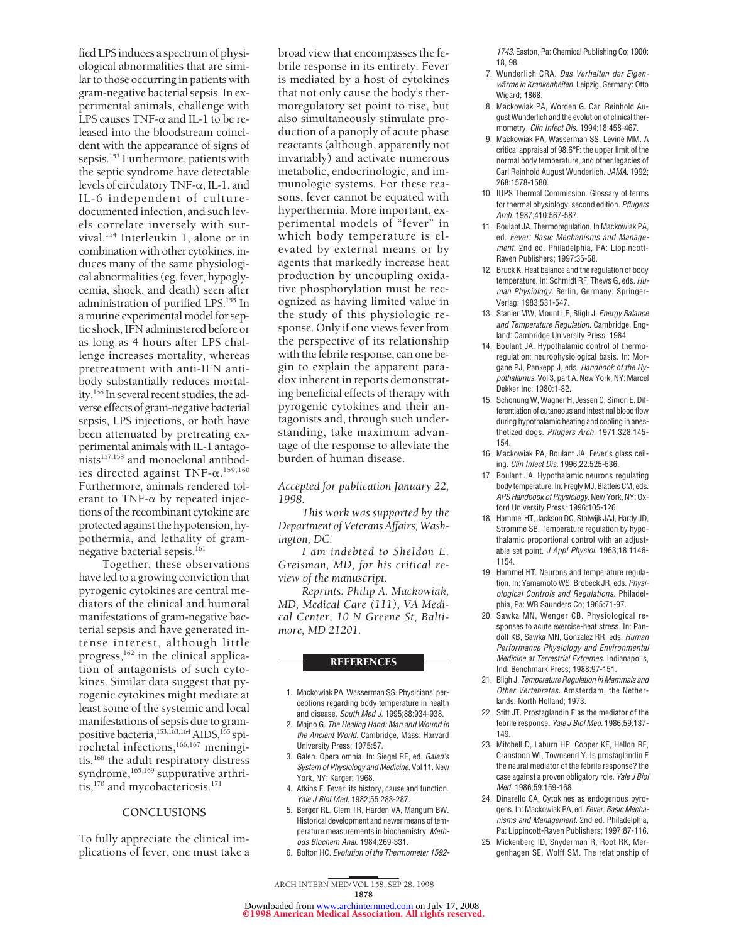fied LPS induces a spectrum of physiological abnormalities that are similar to those occurring in patients with gram-negative bacterial sepsis. In experimental animals, challenge with LPS causes TNF- $\alpha$  and IL-1 to be released into the bloodstream coincident with the appearance of signs of sepsis.<sup>153</sup> Furthermore, patients with the septic syndrome have detectable levels of circulatory  $TNF-\alpha$ , IL-1, and IL-6 independent of culturedocumented infection, and such levels correlate inversely with survival.154 Interleukin 1, alone or in combination with other cytokines, induces many of the same physiological abnormalities (eg, fever, hypoglycemia, shock, and death) seen after administration of purified LPS.155 In a murine experimental model for septic shock, IFN administered before or as long as 4 hours after LPS challenge increases mortality, whereas pretreatment with anti-IFN antibody substantially reduces mortality.156 In several recent studies, the adverse effects of gram-negative bacterial sepsis, LPS injections, or both have been attenuated by pretreating experimental animals with IL-1 antagonists157,158 and monoclonal antibodies directed against TNF- $\alpha$ .<sup>159,160</sup> Furthermore, animals rendered tolerant to TNF- $\alpha$  by repeated injections of the recombinant cytokine are protected against the hypotension, hypothermia, and lethality of gramnegative bacterial sepsis.<sup>161</sup>

Together, these observations have led to a growing conviction that pyrogenic cytokines are central mediators of the clinical and humoral manifestations of gram-negative bacterial sepsis and have generated intense interest, although little progress,  $^{162}$  in the clinical application of antagonists of such cytokines. Similar data suggest that pyrogenic cytokines might mediate at least some of the systemic and local manifestations of sepsis due to grampositive bacteria,<sup>153,163,164</sup> AIDS,<sup>165</sup> spirochetal infections,166,167 meningitis,<sup>168</sup> the adult respiratory distress syndrome,<sup>165,169</sup> suppurative arthritis,<sup>170</sup> and mycobacteriosis.<sup>171</sup>

## **CONCLUSIONS**

To fully appreciate the clinical implications of fever, one must take a

broad view that encompasses the febrile response in its entirety. Fever is mediated by a host of cytokines that not only cause the body's thermoregulatory set point to rise, but also simultaneously stimulate production of a panoply of acute phase reactants (although, apparently not invariably) and activate numerous metabolic, endocrinologic, and immunologic systems. For these reasons, fever cannot be equated with hyperthermia. More important, experimental models of "fever" in which body temperature is elevated by external means or by agents that markedly increase heat production by uncoupling oxidative phosphorylation must be recognized as having limited value in the study of this physiologic response. Only if one views fever from the perspective of its relationship with the febrile response, can one begin to explain the apparent paradox inherent in reports demonstrating beneficial effects of therapy with pyrogenic cytokines and their antagonists and, through such understanding, take maximum advantage of the response to alleviate the burden of human disease.

*Accepted for publication January 22, 1998.*

*This work was supported by the Department of Veterans Affairs, Washington, DC.*

*I am indebted to Sheldon E. Greisman, MD, for his critical review of the manuscript.*

*Reprints: Philip A. Mackowiak, MD, Medical Care (111), VA Medical Center, 10 N Greene St, Baltimore, MD 21201.*

#### **REFERENCES**

- 1. Mackowiak PA, Wasserman SS. Physicians' perceptions regarding body temperature in health and disease. South Med J. 1995;88:934-938.
- 2. Majno G. The Healing Hand: Man and Wound in the Ancient World. Cambridge, Mass: Harvard University Press; 1975:57.
- 3. Galen. Opera omnia. In: Siegel RE, ed. Galen's System of Physiology and Medicine. Vol 11. New York, NY: Karger; 1968.
- 4. Atkins E. Fever: its history, cause and function. Yale J Biol Med. 1982;55:283-287.
- 5. Berger RL, Clem TR, Harden VA, Mangum BW. Historical development and newer means of temperature measurements in biochemistry. Methods Biochem Anal. 1984;269-331.
- 6. Bolton HC. Evolution of the Thermometer 1592-

1743. Easton, Pa: Chemical Publishing Co; 1900: 18, 98.

- 7. Wunderlich CRA. Das Verhalten der Eigenwärme in Krankenheiten. Leipzig, Germany: Otto Wigard; 1868.
- 8. Mackowiak PA, Worden G. Carl Reinhold August Wunderlich and the evolution of clinical thermometry. Clin Infect Dis. 1994;18:458-467.
- 9. Mackowiak PA, Wasserman SS, Levine MM. A critical appraisal of 98.6°F: the upper limit of the normal body temperature, and other legacies of Carl Reinhold August Wunderlich. JAMA. 1992; 268:1578-1580.
- 10. IUPS Thermal Commission. Glossary of terms for thermal physiology: second edition. Pflugers Arch. 1987;410:567-587.
- 11. Boulant JA. Thermoregulation. In Mackowiak PA, ed. Fever: Basic Mechanisms and Management. 2nd ed. Philadelphia, PA: Lippincott-Raven Publishers; 1997:35-58.
- 12. Bruck K. Heat balance and the regulation of body temperature. In: Schmidt RF, Thews G, eds. Human Physiology. Berlin, Germany: Springer-Verlag; 1983:531-547.
- 13. Stanier MW, Mount LE, Bligh J. Energy Balance and Temperature Regulation. Cambridge, England: Cambridge University Press; 1984.
- 14. Boulant JA. Hypothalamic control of thermoregulation: neurophysiological basis. In: Morgane PJ, Pankepp J, eds. Handbook of the Hypothalamus. Vol 3, part A. New York, NY: Marcel Dekker Inc; 1980:1-82.
- 15. Schonung W, Wagner H, Jessen C, Simon E. Differentiation of cutaneous and intestinal blood flow during hypothalamic heating and cooling in anesthetized dogs. Pflugers Arch. 1971;328:145- 154.
- 16. Mackowiak PA, Boulant JA. Fever's glass ceiling. Clin Infect Dis. 1996;22:525-536.
- 17. Boulant JA. Hypothalamic neurons regulating body temperature. In: Fregly MJ, Blatteis CM, eds. APS Handbook of Physiology. New York, NY: Oxford University Press; 1996:105-126.
- 18. Hammel HT, Jackson DC, Stolwijk JAJ, Hardy JD, Stromme SB. Temperature regulation by hypothalamic proportional control with an adjustable set point. J Appl Physiol. 1963;18:1146- 1154.
- 19. Hammel HT. Neurons and temperature regulation. In: Yamamoto WS, Brobeck JR, eds. Physiological Controls and Regulations. Philadelphia, Pa: WB Saunders Co; 1965:71-97.
- 20. Sawka MN, Wenger CB. Physiological responses to acute exercise-heat stress. In: Pandolf KB, Sawka MN, Gonzalez RR, eds. Human Performance Physiology and Environmental Medicine at Terrestrial Extremes. Indianapolis, Ind: Benchmark Press; 1988:97-151.
- 21. Bligh J. Temperature Regulation in Mammals and Other Vertebrates. Amsterdam, the Netherlands: North Holland; 1973.
- 22. Stitt JT. Prostaglandin E as the mediator of the febrile response. Yale J Biol Med. 1986;59:137- 149.
- 23. Mitchell D, Laburn HP, Cooper KE, Hellon RF, Cranstoon WI, Townsend Y. Is prostaglandin E the neural mediator of the febrile response? the case against a proven obligatory role. Yale J Biol Med. 1986;59:159-168.
- 24. Dinarello CA. Cytokines as endogenous pyrogens. In: Mackowiak PA, ed. Fever: Basic Mechanisms and Management. 2nd ed. Philadelphia, Pa: Lippincott-Raven Publishers; 1997:87-116.
- 25. Mickenberg ID, Snyderman R, Root RK, Mergenhagen SE, Wolff SM. The relationship of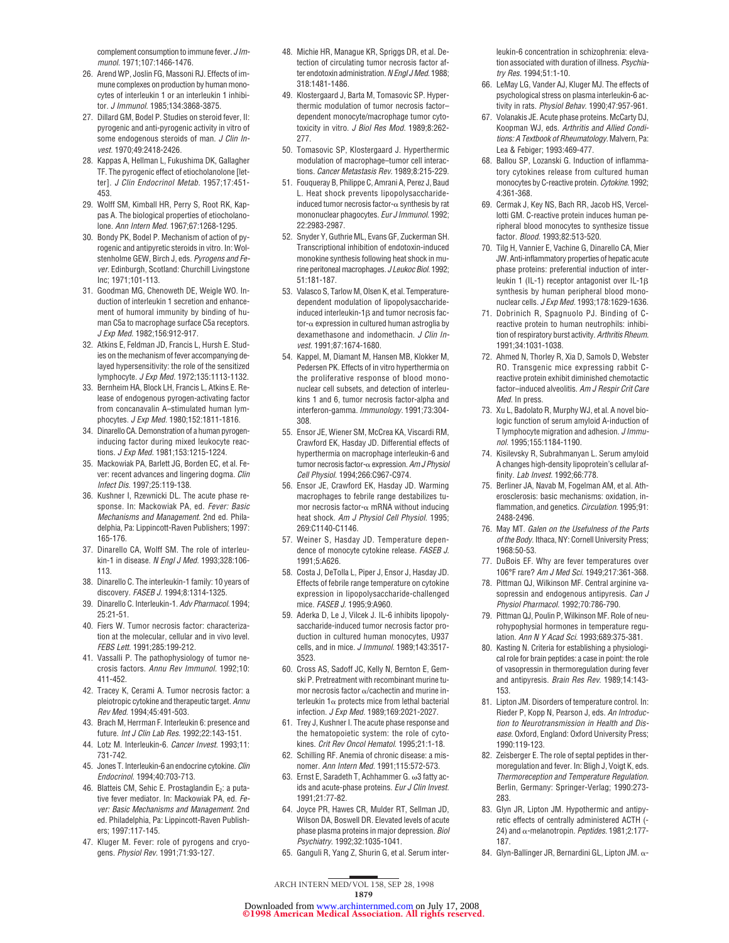complement consumption to immune fever. J Immunol. 1971;107:1466-1476.

- 26. Arend WP, Joslin FG, Massoni RJ. Effects of immune complexes on production by human monocytes of interleukin 1 or an interleukin 1 inhibitor. J Immunol. 1985;134:3868-3875.
- 27. Dillard GM, Bodel P. Studies on steroid fever, II: pyrogenic and anti-pyrogenic activity in vitro of some endogenous steroids of man. J Clin Invest. 1970;49:2418-2426.
- 28. Kappas A, Hellman L, Fukushima DK, Gallagher TF. The pyrogenic effect of etiocholanolone [letter]. J Clin Endocrinol Metab. 1957;17:451-453.
- 29. Wolff SM, Kimball HR, Perry S, Root RK, Kappas A. The biological properties of etiocholanolone. Ann Intern Med. 1967;67:1268-1295.
- 30. Bondy PK, Bodel P. Mechanism of action of pyrogenic and antipyretic steroids in vitro. In: Wolstenholme GEW, Birch J, eds. Pyrogens and Fever. Edinburgh, Scotland: Churchill Livingstone Inc; 1971;101-113.
- 31. Goodman MG, Chenoweth DE, Weigle WO. Induction of interleukin 1 secretion and enhancement of humoral immunity by binding of human C5a to macrophage surface C5a receptors. J Exp Med. 1982;156:912-917.
- 32. Atkins E, Feldman JD, Francis L, Hursh E. Studies on the mechanism of fever accompanying delayed hypersensitivity: the role of the sensitized lymphocyte. J Exp Med. 1972;135:1113-1132.
- 33. Bernheim HA, Block LH, Francis L, Atkins E. Release of endogenous pyrogen-activating factor from concanavalin A–stimulated human lymphocytes. J Exp Med. 1980;152:1811-1816.
- 34. Dinarello CA. Demonstration of a human pyrogeninducing factor during mixed leukocyte reactions. J Exp Med. 1981;153:1215-1224.
- 35. Mackowiak PA, Barlett JG, Borden EC, et al. Fever: recent advances and lingering dogma. Clin Infect Dis. 1997;25:119-138.
- 36. Kushner I, Rzewnicki DL. The acute phase response. In: Mackowiak PA, ed. Fever: Basic Mechanisms and Management. 2nd ed. Philadelphia, Pa: Lippincott-Raven Publishers; 1997: 165-176.
- 37. Dinarello CA, Wolff SM. The role of interleukin-1 in disease. N Engl J Med. 1993;328:106- 113.
- 38. Dinarello C. The interleukin-1 family: 10 years of discovery. FASEB J. 1994;8:1314-1325.
- 39. Dinarello C. Interleukin-1. Adv Pharmacol. 1994; 25:21-51.
- 40. Fiers W. Tumor necrosis factor: characterization at the molecular, cellular and in vivo level. FEBS Lett. 1991;285:199-212.
- 41. Vassalli P. The pathophysiology of tumor necrosis factors. Annu Rev Immunol. 1992;10: 411-452.
- 42. Tracey K, Cerami A. Tumor necrosis factor: a pleiotropic cytokine and therapeutic target. Annu Rev Med. 1994;45:491-503.
- 43. Brach M, Herrman F. Interleukin 6: presence and future. Int J Clin Lab Res. 1992;22:143-151.
- 44. Lotz M. Interleukin-6. Cancer Invest. 1993;11: 731-742.
- 45. Jones T. Interleukin-6 an endocrine cytokine. Clin Endocrinol. 1994;40:703-713.
- 46. Blatteis CM, Sehic E. Prostaglandin  $E_2$ : a putative fever mediator. In: Mackowiak PA, ed. Fever: Basic Mechanisms and Management. 2nd ed. Philadelphia, Pa: Lippincott-Raven Publishers; 1997:117-145.
- 47. Kluger M. Fever: role of pyrogens and cryogens. Physiol Rev. 1991;71:93-127.
- 48. Michie HR, Manague KR, Spriggs DR, et al. Detection of circulating tumor necrosis factor after endotoxin administration. N Engl J Med. 1988; 318:1481-1486.
- 49. Klostergaard J, Barta M, Tomasovic SP. Hyperthermic modulation of tumor necrosis factor– dependent monocyte/macrophage tumor cytotoxicity in vitro. J Biol Res Mod. 1989;8:262- 277.
- 50. Tomasovic SP, Klostergaard J. Hyperthermic modulation of macrophage–tumor cell interactions. Cancer Metastasis Rev. 1989;8:215-229.
- 51. Fouqueray B, Philippe C, Amrani A, Perez J, Baud L. Heat shock prevents lipopolysaccharideinduced tumor necrosis factor- $\alpha$  synthesis by rat mononuclear phagocytes. Eur J Immunol. 1992; 22:2983-2987.
- 52. Snyder Y, Guthrie ML, Evans GF, Zuckerman SH. Transcriptional inhibition of endotoxin-induced monokine synthesis following heat shock in murine peritoneal macrophages. J Leukoc Biol. 1992; 51:181-187.
- 53. Valasco S, Tarlow M, Olsen K, et al. Temperaturedependent modulation of lipopolysaccharideinduced interleukin-1 $\beta$  and tumor necrosis factor- $\alpha$  expression in cultured human astroglia by dexamethasone and indomethacin. J Clin Invest. 1991;87:1674-1680.
- 54. Kappel, M, Diamant M, Hansen MB, Klokker M, Pedersen PK. Effects of in vitro hyperthermia on the proliferative response of blood mononuclear cell subsets, and detection of interleukins 1 and 6, tumor necrosis factor-alpha and interferon-gamma. Immunology. 1991;73:304- 308.
- 55. Ensor JE, Wiener SM, McCrea KA, Viscardi RM, Crawford EK, Hasday JD. Differential effects of hyperthermia on macrophage interleukin-6 and tumor necrosis factor- $\alpha$  expression. Am J Physiol Cell Physiol. 1994;266:C967-C974.
- 56. Ensor JE, Crawford EK, Hasday JD. Warming macrophages to febrile range destabilizes tumor necrosis factor- $\alpha$  mRNA without inducing heat shock. Am J Physiol Cell Physiol. 1995; 269:C1140-C1146.
- 57. Weiner S, Hasday JD. Temperature dependence of monocyte cytokine release. FASEB J. 1991;5:A626.
- 58. Costa J, DeTolla L, Piper J, Ensor J, Hasday JD. Effects of febrile range temperature on cytokine expression in lipopolysaccharide-challenged mice. FASEB J. 1995;9:A960.
- 59. Aderka D, Le J, Vilcek J. IL-6 inhibits lipopolysaccharide-induced tumor necrosis factor production in cultured human monocytes, U937 cells, and in mice. J Immunol. 1989;143:3517-3523.
- 60. Cross AS, Sadoff JC, Kelly N, Bernton E, Gemski P. Pretreatment with recombinant murine tumor necrosis factor a/cachectin and murine interleukin  $1\alpha$  protects mice from lethal bacterial infection. J Exp Med. 1989;169:2021-2027.
- 61. Trey J, Kushner I. The acute phase response and the hematopoietic system: the role of cytokines. Crit Rev Oncol Hematol. 1995;21:1-18.
- 62. Schilling RF. Anemia of chronic disease: a misnomer. Ann Intern Med. 1991;115:572-573.
- 63. Ernst E, Saradeth T, Achhammer G. ω3 fatty acids and acute-phase proteins. Eur J Clin Invest. 1991;21:77-82.
- 64. Joyce PR, Hawes CR, Mulder RT, Sellman JD, Wilson DA, Boswell DR. Elevated levels of acute phase plasma proteins in major depression. Biol Psychiatry. 1992;32:1035-1041.
- 65. Ganguli R, Yang Z, Shurin G, et al. Serum inter-

leukin-6 concentration in schizophrenia: elevation associated with duration of illness. Psychiatry Res. 1994;51:1-10.

- 66. LeMay LG, Vander AJ, Kluger MJ. The effects of psychological stress on plasma interleukin-6 activity in rats. Physiol Behav. 1990;47:957-961.
- 67. Volanakis JE. Acute phase proteins. McCarty DJ, Koopman WJ, eds. Arthritis and Allied Conditions: A Textbook of Rheumatology. Malvern, Pa: Lea & Febiger; 1993:469-477.
- 68. Ballou SP, Lozanski G. Induction of inflammatory cytokines release from cultured human monocytes by C-reactive protein. Cytokine. 1992; 4:361-368.
- 69. Cermak J, Key NS, Bach RR, Jacob HS, Vercellotti GM. C-reactive protein induces human peripheral blood monocytes to synthesize tissue factor. Blood. 1993;82:513-520.
- 70. Tilg H, Vannier E, Vachine G, Dinarello CA, Mier JW. Anti-inflammatory properties of hepatic acute phase proteins: preferential induction of interleukin 1 (IL-1) receptor antagonist over IL-1 $\beta$ synthesis by human peripheral blood mononuclear cells. J Exp Med. 1993;178:1629-1636.
- 71. Dobrinich R, Spagnuolo PJ. Binding of Creactive protein to human neutrophils: inhibition of respiratory burst activity. Arthritis Rheum. 1991;34:1031-1038.
- 72. Ahmed N, Thorley R, Xia D, Samols D, Webster RO. Transgenic mice expressing rabbit Creactive protein exhibit diminished chemotactic factor–induced alveolitis. Am J Respir Crit Care Med. In press.
- 73. Xu L, Badolato R, Murphy WJ, et al. A novel biologic function of serum amyloid A-induction of T lymphocyte migration and adhesion. J Immunol. 1995;155:1184-1190.
- 74. Kisilevsky R, Subrahmanyan L. Serum amyloid A changes high-density lipoprotein's cellular affinity. Lab Invest. 1992;66:778.
- 75. Berliner JA, Navab M, Fogelman AM, et al. Atherosclerosis: basic mechanisms: oxidation, inflammation, and genetics. Circulation. 1995;91: 2488-2496.
- 76. May MT. Galen on the Usefulness of the Parts of the Body. Ithaca, NY: Cornell University Press; 1968:50-53.
- 77. DuBois EF. Why are fever temperatures over 106°F rare? Am J Med Sci. 1949;217:361-368.
- 78. Pittman QJ, Wilkinson MF. Central arginine vasopressin and endogenous antipyresis. Can J Physiol Pharmacol. 1992;70:786-790.
- 79. Pittman QJ, Poulin P, Wilkinson MF. Role of neurohypophysial hormones in temperature regulation. Ann N Y Acad Sci. 1993;689:375-381.
- 80. Kasting N. Criteria for establishing a physiological role for brain peptides: a case in point: the role of vasopressin in thermoregulation during fever and antipyresis. Brain Res Rev. 1989;14:143- 153.
- 81. Lipton JM. Disorders of temperature control. In: Rieder P, Kopp N, Pearson J, eds. An Introduction to Neurotransmission in Health and Disease. Oxford, England: Oxford University Press; 1990:119-123.
- 82. Zeisberger E. The role of septal peptides in thermoregulation and fever. In: Bligh J, Voigt K, eds. Thermoreception and Temperature Regulation. Berlin, Germany: Springer-Verlag; 1990:273- 283.
- 83. Glyn JR, Lipton JM. Hypothermic and antipyretic effects of centrally administered ACTH (- 24) and  $\alpha$ -melanotropin. Peptides. 1981;2:177-187.
- 84. Glyn-Ballinger JR, Bernardini GL, Lipton JM.  $\alpha$ -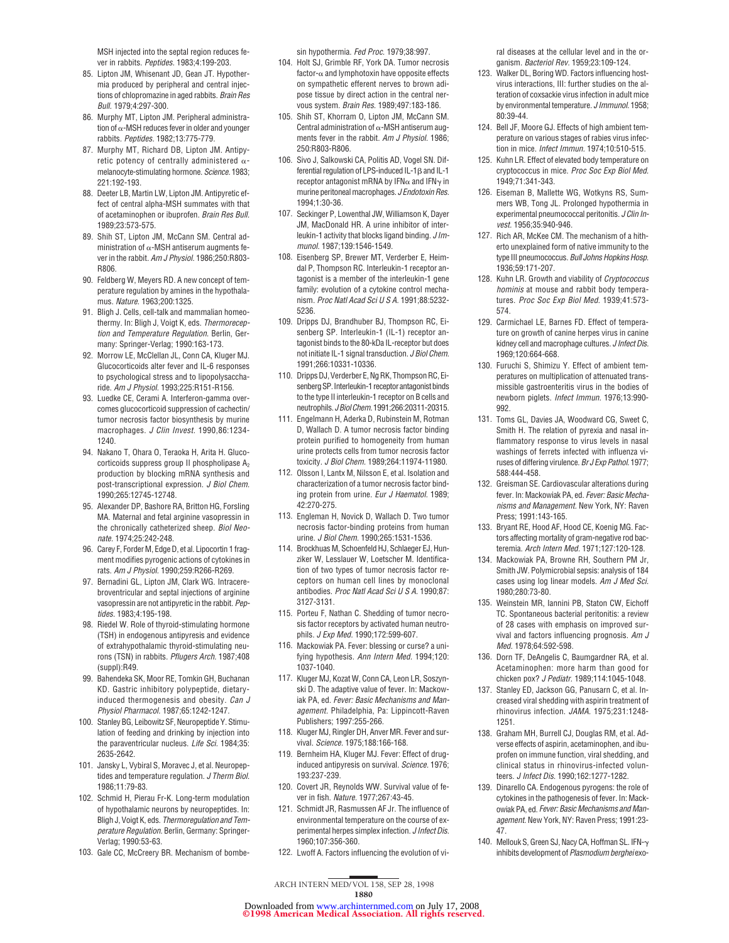MSH injected into the septal region reduces fever in rabbits. Peptides. 1983;4:199-203.

- 85. Lipton JM, Whisenant JD, Gean JT. Hypothermia produced by peripheral and central injections of chlopromazine in aged rabbits. Brain Res Bull. 1979;4:297-300.
- 86. Murphy MT, Lipton JM. Peripheral administration of  $\alpha$ -MSH reduces fever in older and younger rabbits. Peptides. 1982;13:775-779.
- 87. Murphy MT, Richard DB, Lipton JM. Antipyretic potency of centrally administered  $\alpha$ melanocyte-stimulating hormone. Science. 1983; 221:192-193.
- 88. Deeter LB, Martin LW, Lipton JM. Antipyretic effect of central alpha-MSH summates with that of acetaminophen or ibuprofen. Brain Res Bull. 1989;23:573-575.
- 89. Shih ST, Lipton JM, McCann SM. Central administration of  $\alpha$ -MSH antiserum augments fever in the rabbit. Am J Physiol. 1986;250:R803- R806.
- 90. Feldberg W, Meyers RD. A new concept of temperature regulation by amines in the hypothalamus. Nature. 1963;200:1325.
- 91. Bligh J. Cells, cell-talk and mammalian homeothermy. In: Bligh J, Voigt K, eds. Thermoreception and Temperature Regulation. Berlin, Germany: Springer-Verlag; 1990:163-173.
- 92. Morrow LE, McClellan JL, Conn CA, Kluger MJ. Glucocorticoids alter fever and IL-6 responses to psychological stress and to lipopolysaccharide. Am J Physiol. 1993;225:R151-R156.
- 93. Luedke CE, Cerami A. Interferon-gamma overcomes glucocorticoid suppression of cachectin/ tumor necrosis factor biosynthesis by murine macrophages. J Clin Invest. 1990,86:1234- 1240.
- 94. Nakano T, Ohara O, Teraoka H, Arita H. Glucocorticoids suppress group II phospholipase  $A_2$ production by blocking mRNA synthesis and post-transcriptional expression. J Biol Chem. 1990;265:12745-12748.
- 95. Alexander DP, Bashore RA, Britton HG, Forsling MA. Maternal and fetal arginine vasopressin in the chronically catheterized sheep. Biol Neonate. 1974;25:242-248.
- 96. Carey F, Forder M, Edge D, et al. Lipocortin 1 fragment modifies pyrogenic actions of cytokines in rats. Am J Physiol. 1990;259:R266-R269.
- 97. Bernadini GL, Lipton JM, Clark WG. Intracerebroventricular and septal injections of arginine vasopressin are not antipyretic in the rabbit. Peptides. 1983;4:195-198.
- 98. Riedel W. Role of thyroid-stimulating hormone (TSH) in endogenous antipyresis and evidence of extrahypothalamic thyroid-stimulating neurons (TSN) in rabbits. Pflugers Arch. 1987;408 (suppl):R49.
- 99. Bahendeka SK, Moor RE, Tomkin GH, Buchanan KD. Gastric inhibitory polypeptide, dietaryinduced thermogenesis and obesity. Can J Physiol Pharmacol. 1987;65:1242-1247.
- 100. Stanley BG, Leibowitz SF, Neuropeptide Y. Stimulation of feeding and drinking by injection into the paraventricular nucleus. Life Sci. 1984;35: 2635-2642.
- 101. Jansky L, Vybiral S, Moravec J, et al. Neuropeptides and temperature regulation. J Therm Biol. 1986;11:79-83.
- 102. Schmid H, Pierau Fr-K. Long-term modulation of hypothalamic neurons by neuropeptides. In: Bligh J, Voigt K, eds. Thermoregulation and Temperature Regulation. Berlin, Germany: Springer-Verlag; 1990:53-63.
- 103. Gale CC, McCreery BR. Mechanism of bombe-

sin hypothermia. Fed Proc. 1979;38:997.

- 104. Holt SJ, Grimble RF, York DA. Tumor necrosis factor- $\alpha$  and lymphotoxin have opposite effects on sympathetic efferent nerves to brown adipose tissue by direct action in the central nervous system. Brain Res. 1989;497:183-186.
- 105. Shih ST, Khorram O, Lipton JM, McCann SM. Central administration of  $\alpha$ -MSH antiserum augments fever in the rabbit. Am J Physiol. 1986; 250:R803-R806.
- 106. Sivo J, Salkowski CA, Politis AD, Vogel SN. Differential regulation of LPS-induced IL-1<sub>B</sub> and IL-1 receptor antagonist mRNA by IFN $\alpha$  and IFN $\gamma$  in murine peritoneal macrophages. J Endotoxin Res. 1994;1:30-36.
- 107. Seckinger P, Lowenthal JW, Williamson K, Dayer JM, MacDonald HR. A urine inhibitor of interleukin-1 activity that blocks ligand binding. J Immunol. 1987;139:1546-1549.
- 108. Eisenberg SP, Brewer MT, Verderber E, Heimdal P, Thompson RC. Interleukin-1 receptor antagonist is a member of the interleukin-1 gene family: evolution of a cytokine control mechanism. Proc Natl Acad Sci U S A. 1991;88:5232- 5236.
- 109. Dripps DJ, Brandhuber BJ, Thompson RC, Eisenberg SP. Interleukin-1 (IL-1) receptor antagonist binds to the 80-kDa IL-receptor but does not initiate IL-1 signal transduction. J Biol Chem. 1991;266:10331-10336.
- 110. Dripps DJ, Verderber E, Ng RK, Thompson RC, Eisenberg SP. Interleukin-1 receptor antagonist binds to the type II interleukin-1 receptor on B cells and neutrophils.JBiolChem.1991;266:20311-20315.
- 111. Engelmann H, Aderka D, Rubinstein M, Rotman D, Wallach D. A tumor necrosis factor binding protein purified to homogeneity from human urine protects cells from tumor necrosis factor toxicity. J Biol Chem. 1989;264:11974-11980.
- 112. Olsson I, Lantx M, Nilsson E, et al. Isolation and characterization of a tumor necrosis factor binding protein from urine. Eur J Haematol. 1989: 42:270-275.
- 113. Engleman H, Novick D, Wallach D. Two tumor necrosis factor-binding proteins from human urine. J Biol Chem. 1990;265:1531-1536.
- 114. Brockhuas M, Schoenfeld HJ, Schlaeger EJ, Hunziker W, Lesslauer W, Loetscher M. Identification of two types of tumor necrosis factor receptors on human cell lines by monoclonal antibodies. Proc Natl Acad Sci U S A. 1990;87: 3127-3131.
- 115. Porteu F, Nathan C. Shedding of tumor necrosis factor receptors by activated human neutrophils. J Exp Med. 1990;172:599-607.
- 116. Mackowiak PA. Fever: blessing or curse? a unifying hypothesis. Ann Intern Med. 1994;120: 1037-1040.
- 117. Kluger MJ, Kozat W, Conn CA, Leon LR, Soszynski D. The adaptive value of fever. In: Mackowiak PA, ed. Fever: Basic Mechanisms and Management. Philadelphia, Pa: Lippincott-Raven Publishers; 1997:255-266.
- 118. Kluger MJ, Ringler DH, Anver MR. Fever and survival. Science. 1975;188:166-168.
- 119. Bernheim HA, Kluger MJ. Fever: Effect of druginduced antipyresis on survival. Science. 1976; 193:237-239.
- 120. Covert JR, Reynolds WW. Survival value of fever in fish. Nature. 1977;267:43-45.
- 121. Schmidt JR, Rasmussen AF Jr. The influence of environmental temperature on the course of experimental herpes simplex infection. J Infect Dis. 1960;107:356-360.
- 122. Lwoff A. Factors influencing the evolution of vi-

ral diseases at the cellular level and in the organism. Bacteriol Rev. 1959;23:109-124.

- 123. Walker DL, Boring WD. Factors influencing hostvirus interactions, III: further studies on the alteration of coxsackie virus infection in adult mice by environmental temperature. J Immunol. 1958; 80:39-44.
- 124. Bell JF, Moore GJ. Effects of high ambient temperature on various stages of rabies virus infection in mice. Infect Immun. 1974;10:510-515.
- 125. Kuhn LR. Effect of elevated body temperature on cryptococcus in mice. Proc Soc Exp Biol Med. 1949;71:341-343.
- 126. Eiseman B, Mallette WG, Wotkyns RS, Summers WB, Tong JL. Prolonged hypothermia in experimental pneumococcal peritonitis. J Clin Invest. 1956;35:940-946.
- 127. Rich AR, McKee CM. The mechanism of a hitherto unexplained form of native immunity to the type III pneumococcus. Bull Johns Hopkins Hosp. 1936;59:171-207.
- 128. Kuhn LR. Growth and viability of Cryptococcus hominis at mouse and rabbit body temperatures. Proc Soc Exp Biol Med. 1939;41:573- 574.
- 129. Carmichael LE, Barnes FD. Effect of temperature on growth of canine herpes virus in canine kidney cell and macrophage cultures. J Infect Dis. 1969;120:664-668.
- 130. Furuchi S, Shimizu Y. Effect of ambient temperatures on multiplication of attenuated transmissible gastroenteritis virus in the bodies of newborn piglets. Infect Immun. 1976;13:990- 992.
- 131. Toms GL, Davies JA, Woodward CG, Sweet C, Smith H. The relation of pyrexia and nasal inflammatory response to virus levels in nasal washings of ferrets infected with influenza viruses of differing virulence. Br J Exp Pathol. 1977; 588:444-458.
- 132. Greisman SE. Cardiovascular alterations during fever. In: Mackowiak PA, ed. Fever: Basic Mechanisms and Management. New York, NY: Raven Press; 1991:143-165.
- 133. Bryant RE, Hood AF, Hood CE, Koenig MG. Factors affecting mortality of gram-negative rod bacteremia. Arch Intern Med. 1971;127:120-128.
- 134. Mackowiak PA, Browne RH, Southern PM Jr, Smith JW. Polymicrobial sepsis: analysis of 184 cases using log linear models. Am J Med Sci. 1980;280:73-80.
- 135. Weinstein MR, Iannini PB, Staton CW, Eichoff TC. Spontaneous bacterial peritonitis: a review of 28 cases with emphasis on improved survival and factors influencing prognosis. Am J Med. 1978;64:592-598.
- 136. Dorn TF, DeAngelis C, Baumgardner RA, et al. Acetaminophen: more harm than good for chicken pox? J Pediatr. 1989;114:1045-1048.
- 137. Stanley ED, Jackson GG, Panusarn C, et al. Increased viral shedding with aspirin treatment of rhinovirus infection. JAMA. 1975;231:1248- 1251.
- 138. Graham MH, Burrell CJ, Douglas RM, et al. Adverse effects of aspirin, acetaminophen, and ibuprofen on immune function, viral shedding, and clinical status in rhinovirus-infected volunteers. J Infect Dis. 1990;162:1277-1282.
- 139. Dinarello CA. Endogenous pyrogens: the role of cytokines in the pathogenesis of fever. In: Mackowiak PA, ed. Fever: Basic Mechanisms and Management. New York, NY: Raven Press; 1991:23- 47.
- 140. Mellouk S, Green SJ, Nacy CA, Hoffman SL. IFN- $\gamma$ inhibits development of Plasmodium berghei exo-